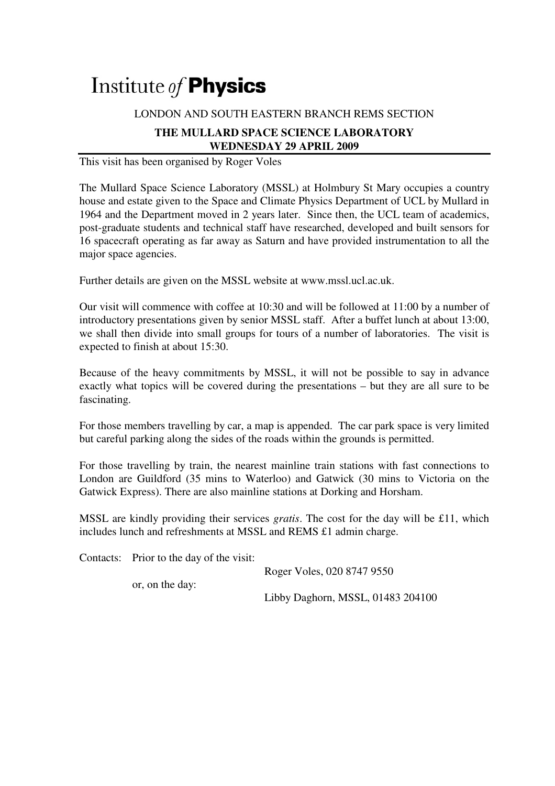## Institute of **Physics**

## LONDON AND SOUTH EASTERN BRANCH REMS SECTION

## **THE MULLARD SPACE SCIENCE LABORATORY WEDNESDAY 29 APRIL 2009**

This visit has been organised by Roger Voles

The Mullard Space Science Laboratory (MSSL) at Holmbury St Mary occupies a country house and estate given to the Space and Climate Physics Department of UCL by Mullard in 1964 and the Department moved in 2 years later. Since then, the UCL team of academics, post-graduate students and technical staff have researched, developed and built sensors for 16 spacecraft operating as far away as Saturn and have provided instrumentation to all the major space agencies.

Further details are given on the MSSL website at www.mssl.ucl.ac.uk.

Our visit will commence with coffee at 10:30 and will be followed at 11:00 by a number of introductory presentations given by senior MSSL staff. After a buffet lunch at about 13:00, we shall then divide into small groups for tours of a number of laboratories. The visit is expected to finish at about 15:30.

Because of the heavy commitments by MSSL, it will not be possible to say in advance exactly what topics will be covered during the presentations – but they are all sure to be fascinating.

For those members travelling by car, a map is appended. The car park space is very limited but careful parking along the sides of the roads within the grounds is permitted.

For those travelling by train, the nearest mainline train stations with fast connections to London are Guildford (35 mins to Waterloo) and Gatwick (30 mins to Victoria on the Gatwick Express). There are also mainline stations at Dorking and Horsham.

MSSL are kindly providing their services *gratis*. The cost for the day will be £11, which includes lunch and refreshments at MSSL and REMS £1 admin charge.

Contacts: Prior to the day of the visit:

Roger Voles, 020 8747 9550

or, on the day:

Libby Daghorn, MSSL, 01483 204100